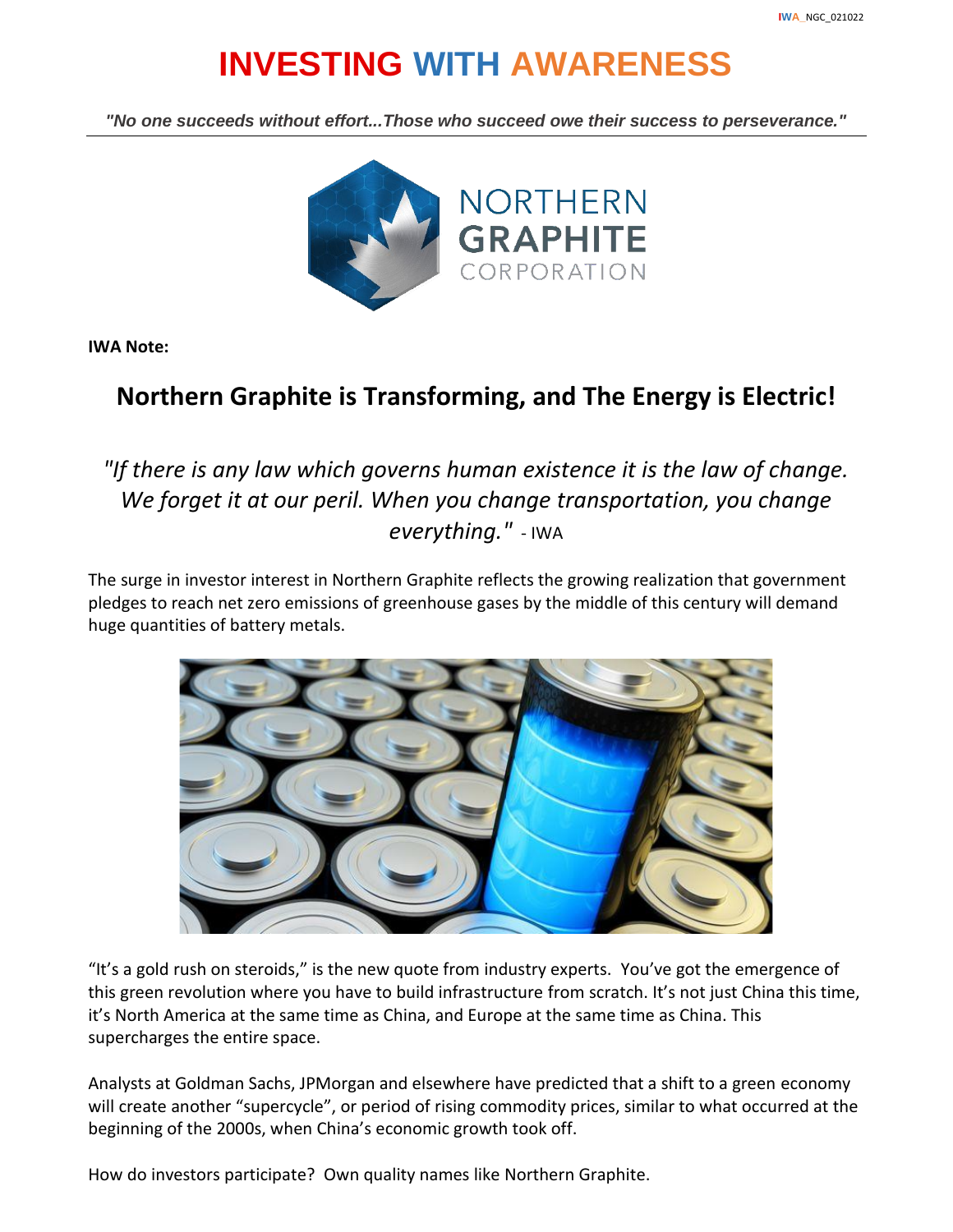## **INVESTING WITH AWARENESS**

*"No one succeeds without effort...Those who succeed owe their success to perseverance."*



**IWA Note:**

## **Northern Graphite is Transforming, and The Energy is Electric!**

*"If there is any law which governs human existence it is the law of change. We forget it at our peril. When you change transportation, you change everything."* - IWA

The surge in investor interest in Northern Graphite reflects the growing realization that government pledges to reach net zero emissions of greenhouse gases by the middle of this century will demand huge quantities of battery metals.



"It's a gold rush on steroids," is the new quote from industry experts. You've got the emergence of this green revolution where you have to build infrastructure from scratch. It's not just China this time, it's North America at the same time as China, and Europe at the same time as China. This supercharges the entire space.

Analysts at Goldman Sachs, JPMorgan and elsewhere have predicted that a shift to a green economy will create another "supercycle", or period of rising commodity prices, similar to what occurred at the beginning of the 2000s, when China's economic growth took off.

How do investors participate? Own quality names like Northern Graphite.